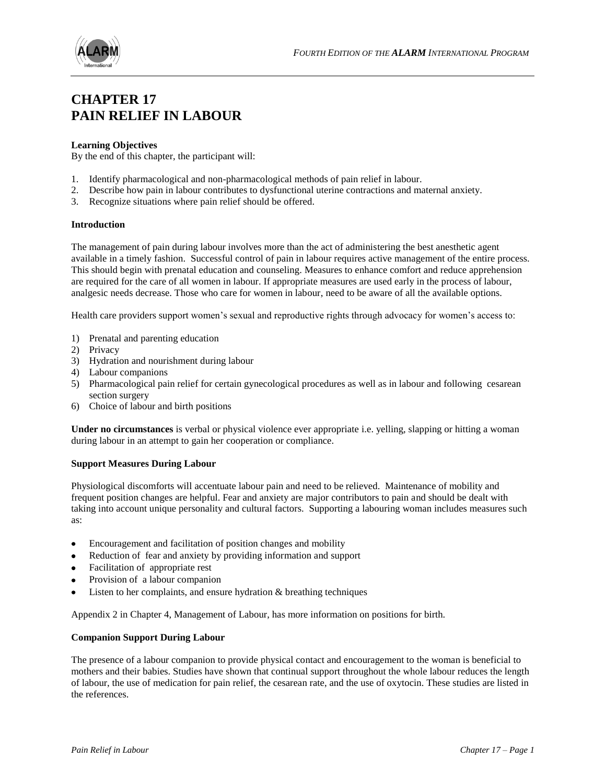

# **CHAPTER 17 PAIN RELIEF IN LABOUR**

# **Learning Objectives**

By the end of this chapter, the participant will:

- 1. Identify pharmacological and non-pharmacological methods of pain relief in labour.
- 2. Describe how pain in labour contributes to dysfunctional uterine contractions and maternal anxiety.
- 3. Recognize situations where pain relief should be offered.

#### **Introduction**

The management of pain during labour involves more than the act of administering the best anesthetic agent available in a timely fashion. Successful control of pain in labour requires active management of the entire process. This should begin with prenatal education and counseling. Measures to enhance comfort and reduce apprehension are required for the care of all women in labour. If appropriate measures are used early in the process of labour, analgesic needs decrease. Those who care for women in labour, need to be aware of all the available options.

Health care providers support women's sexual and reproductive rights through advocacy for women's access to:

- 1) Prenatal and parenting education
- 2) Privacy
- 3) Hydration and nourishment during labour
- 4) Labour companions
- 5) Pharmacological pain relief for certain gynecological procedures as well as in labour and following cesarean section surgery
- 6) Choice of labour and birth positions

**Under no circumstances** is verbal or physical violence ever appropriate i.e. yelling, slapping or hitting a woman during labour in an attempt to gain her cooperation or compliance.

#### **Support Measures During Labour**

Physiological discomforts will accentuate labour pain and need to be relieved. Maintenance of mobility and frequent position changes are helpful. Fear and anxiety are major contributors to pain and should be dealt with taking into account unique personality and cultural factors. Supporting a labouring woman includes measures such as:

- Encouragement and facilitation of position changes and mobility
- Reduction of fear and anxiety by providing information and support
- Facilitation of appropriate rest
- Provision of a labour companion
- Listen to her complaints, and ensure hydration & breathing techniques

Appendix 2 in Chapter 4, Management of Labour, has more information on positions for birth.

### **Companion Support During Labour**

The presence of a labour companion to provide physical contact and encouragement to the woman is beneficial to mothers and their babies. Studies have shown that continual support throughout the whole labour reduces the length of labour, the use of medication for pain relief, the cesarean rate, and the use of oxytocin. These studies are listed in the references.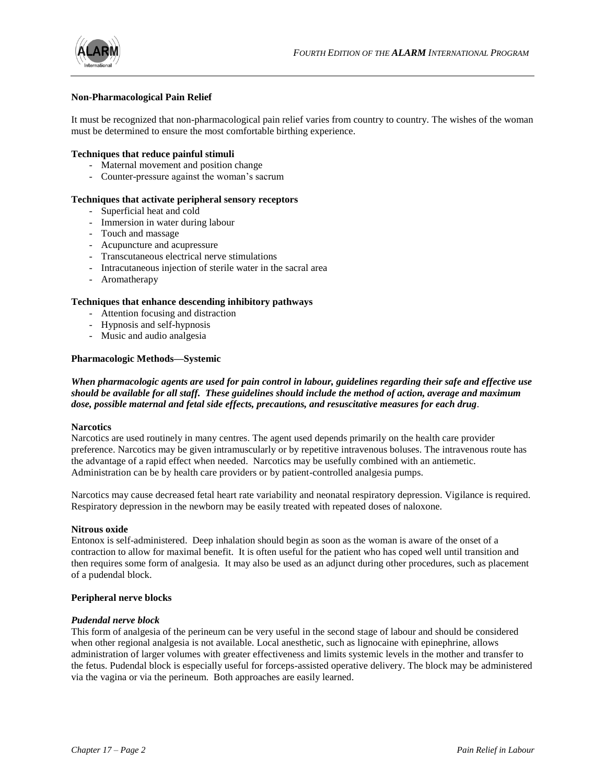



# **Non-Pharmacological Pain Relief**

It must be recognized that non-pharmacological pain relief varies from country to country. The wishes of the woman must be determined to ensure the most comfortable birthing experience.

#### **Techniques that reduce painful stimuli**

- Maternal movement and position change
- Counter-pressure against the woman's sacrum

# **Techniques that activate peripheral sensory receptors**

- Superficial heat and cold
- Immersion in water during labour
- Touch and massage
- Acupuncture and acupressure
- Transcutaneous electrical nerve stimulations
- Intracutaneous injection of sterile water in the sacral area
- Aromatherapy

# **Techniques that enhance descending inhibitory pathways**

- Attention focusing and distraction
- Hypnosis and self-hypnosis
- Music and audio analgesia

# **Pharmacologic Methods—Systemic**

# *When pharmacologic agents are used for pain control in labour, guidelines regarding their safe and effective use should be available for all staff. These guidelines should include the method of action, average and maximum dose, possible maternal and fetal side effects, precautions, and resuscitative measures for each drug.*

#### **Narcotics**

Narcotics are used routinely in many centres. The agent used depends primarily on the health care provider preference. Narcotics may be given intramuscularly or by repetitive intravenous boluses. The intravenous route has the advantage of a rapid effect when needed. Narcotics may be usefully combined with an antiemetic. Administration can be by health care providers or by patient-controlled analgesia pumps.

Narcotics may cause decreased fetal heart rate variability and neonatal respiratory depression. Vigilance is required. Respiratory depression in the newborn may be easily treated with repeated doses of naloxone.

#### **Nitrous oxide**

Entonox is self-administered. Deep inhalation should begin as soon as the woman is aware of the onset of a contraction to allow for maximal benefit. It is often useful for the patient who has coped well until transition and then requires some form of analgesia. It may also be used as an adjunct during other procedures, such as placement of a pudendal block.

#### **Peripheral nerve blocks**

#### *Pudendal nerve block*

This form of analgesia of the perineum can be very useful in the second stage of labour and should be considered when other regional analgesia is not available. Local anesthetic, such as lignocaine with epinephrine, allows administration of larger volumes with greater effectiveness and limits systemic levels in the mother and transfer to the fetus. Pudendal block is especially useful for forceps-assisted operative delivery. The block may be administered via the vagina or via the perineum. Both approaches are easily learned.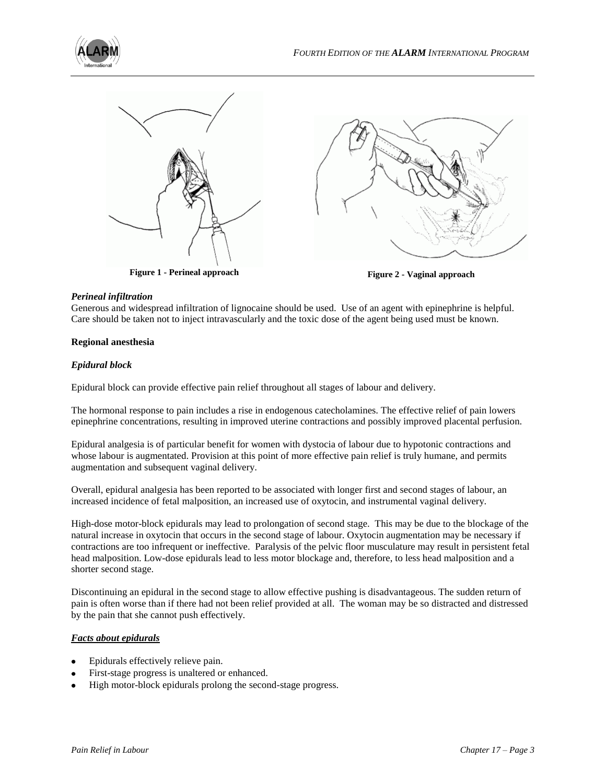



**Figure 1 - Perineal approach Figure 2 - Vaginal approach**



# *Perineal infiltration*

Generous and widespread infiltration of lignocaine should be used. Use of an agent with epinephrine is helpful. Care should be taken not to inject intravascularly and the toxic dose of the agent being used must be known.

# **Regional anesthesia**

# *Epidural block*

Epidural block can provide effective pain relief throughout all stages of labour and delivery.

The hormonal response to pain includes a rise in endogenous catecholamines. The effective relief of pain lowers epinephrine concentrations, resulting in improved uterine contractions and possibly improved placental perfusion.

Epidural analgesia is of particular benefit for women with dystocia of labour due to hypotonic contractions and whose labour is augmentated. Provision at this point of more effective pain relief is truly humane, and permits augmentation and subsequent vaginal delivery.

Overall, epidural analgesia has been reported to be associated with longer first and second stages of labour, an increased incidence of fetal malposition, an increased use of oxytocin, and instrumental vaginal delivery.

High-dose motor-block epidurals may lead to prolongation of second stage. This may be due to the blockage of the natural increase in oxytocin that occurs in the second stage of labour. Oxytocin augmentation may be necessary if contractions are too infrequent or ineffective. Paralysis of the pelvic floor musculature may result in persistent fetal head malposition. Low-dose epidurals lead to less motor blockage and, therefore, to less head malposition and a shorter second stage.

Discontinuing an epidural in the second stage to allow effective pushing is disadvantageous. The sudden return of pain is often worse than if there had not been relief provided at all. The woman may be so distracted and distressed by the pain that she cannot push effectively.

# *Facts about epidurals*

- Epidurals effectively relieve pain.
- First-stage progress is unaltered or enhanced.
- High motor-block epidurals prolong the second-stage progress.